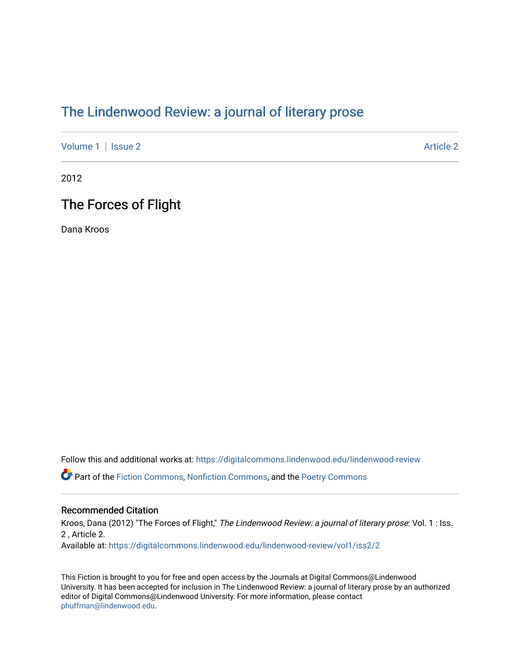# [The Lindenwood Review: a journal of literary prose](https://digitalcommons.lindenwood.edu/lindenwood-review)

[Volume 1](https://digitalcommons.lindenwood.edu/lindenwood-review/vol1) | [Issue 2](https://digitalcommons.lindenwood.edu/lindenwood-review/vol1/iss2) [Article 2](https://digitalcommons.lindenwood.edu/lindenwood-review/vol1/iss2/2) Article 2 Article 2

2012

### The Forces of Flight

Dana Kroos

Follow this and additional works at: [https://digitalcommons.lindenwood.edu/lindenwood-review](https://digitalcommons.lindenwood.edu/lindenwood-review?utm_source=digitalcommons.lindenwood.edu%2Flindenwood-review%2Fvol1%2Fiss2%2F2&utm_medium=PDF&utm_campaign=PDFCoverPages)

Part of the [Fiction Commons,](http://network.bepress.com/hgg/discipline/1151?utm_source=digitalcommons.lindenwood.edu%2Flindenwood-review%2Fvol1%2Fiss2%2F2&utm_medium=PDF&utm_campaign=PDFCoverPages) [Nonfiction Commons](http://network.bepress.com/hgg/discipline/1152?utm_source=digitalcommons.lindenwood.edu%2Flindenwood-review%2Fvol1%2Fiss2%2F2&utm_medium=PDF&utm_campaign=PDFCoverPages), and the [Poetry Commons](http://network.bepress.com/hgg/discipline/1153?utm_source=digitalcommons.lindenwood.edu%2Flindenwood-review%2Fvol1%2Fiss2%2F2&utm_medium=PDF&utm_campaign=PDFCoverPages)

#### Recommended Citation

Kroos, Dana (2012) "The Forces of Flight," The Lindenwood Review: a journal of literary prose: Vol. 1 : Iss. 2 , Article 2. Available at: [https://digitalcommons.lindenwood.edu/lindenwood-review/vol1/iss2/2](https://digitalcommons.lindenwood.edu/lindenwood-review/vol1/iss2/2?utm_source=digitalcommons.lindenwood.edu%2Flindenwood-review%2Fvol1%2Fiss2%2F2&utm_medium=PDF&utm_campaign=PDFCoverPages)

This Fiction is brought to you for free and open access by the Journals at Digital Commons@Lindenwood University. It has been accepted for inclusion in The Lindenwood Review: a journal of literary prose by an authorized editor of Digital Commons@Lindenwood University. For more information, please contact [phuffman@lindenwood.edu](mailto:phuffman@lindenwood.edu).